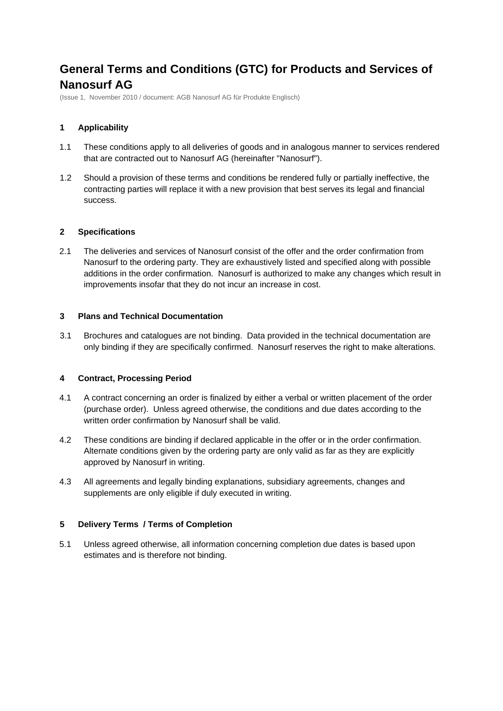# **General Terms and Conditions (GTC) for Products and Services of Nanosurf AG**

(Issue 1, November 2010 / document: AGB Nanosurf AG für Produkte Englisch)

## **1 Applicability**

- 1.1 These conditions apply to all deliveries of goods and in analogous manner to services rendered that are contracted out to Nanosurf AG (hereinafter "Nanosurf").
- 1.2 Should a provision of these terms and conditions be rendered fully or partially ineffective, the contracting parties will replace it with a new provision that best serves its legal and financial success.

#### **2 Specifications**

2.1 The deliveries and services of Nanosurf consist of the offer and the order confirmation from Nanosurf to the ordering party. They are exhaustively listed and specified along with possible additions in the order confirmation. Nanosurf is authorized to make any changes which result in improvements insofar that they do not incur an increase in cost.

#### **3 Plans and Technical Documentation**

3.1 Brochures and catalogues are not binding. Data provided in the technical documentation are only binding if they are specifically confirmed. Nanosurf reserves the right to make alterations.

#### **4 Contract, Processing Period**

- 4.1 A contract concerning an order is finalized by either a verbal or written placement of the order (purchase order). Unless agreed otherwise, the conditions and due dates according to the written order confirmation by Nanosurf shall be valid.
- 4.2 These conditions are binding if declared applicable in the offer or in the order confirmation. Alternate conditions given by the ordering party are only valid as far as they are explicitly approved by Nanosurf in writing.
- 4.3 All agreements and legally binding explanations, subsidiary agreements, changes and supplements are only eligible if duly executed in writing.

#### **5 Delivery Terms / Terms of Completion**

5.1 Unless agreed otherwise, all information concerning completion due dates is based upon estimates and is therefore not binding.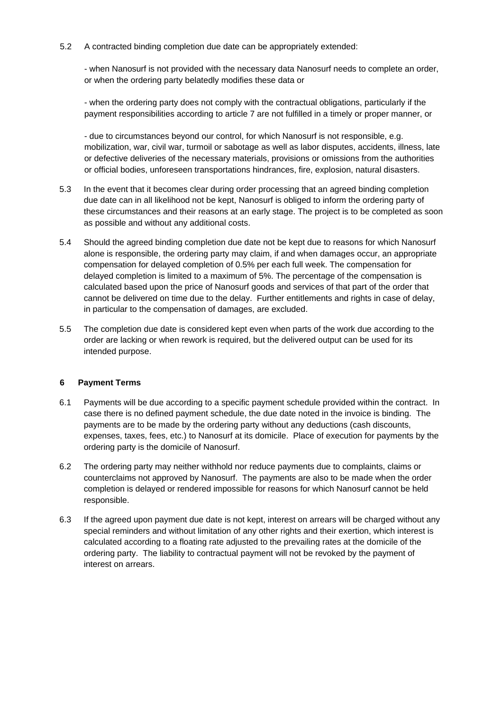5.2 A contracted binding completion due date can be appropriately extended:

- when Nanosurf is not provided with the necessary data Nanosurf needs to complete an order, or when the ordering party belatedly modifies these data or

- when the ordering party does not comply with the contractual obligations, particularly if the payment responsibilities according to article 7 are not fulfilled in a timely or proper manner, or

- due to circumstances beyond our control, for which Nanosurf is not responsible, e.g. mobilization, war, civil war, turmoil or sabotage as well as labor disputes, accidents, illness, late or defective deliveries of the necessary materials, provisions or omissions from the authorities or official bodies, unforeseen transportations hindrances, fire, explosion, natural disasters.

- 5.3 In the event that it becomes clear during order processing that an agreed binding completion due date can in all likelihood not be kept, Nanosurf is obliged to inform the ordering party of these circumstances and their reasons at an early stage. The project is to be completed as soon as possible and without any additional costs.
- 5.4 Should the agreed binding completion due date not be kept due to reasons for which Nanosurf alone is responsible, the ordering party may claim, if and when damages occur, an appropriate compensation for delayed completion of 0.5% per each full week. The compensation for delayed completion is limited to a maximum of 5%. The percentage of the compensation is calculated based upon the price of Nanosurf goods and services of that part of the order that cannot be delivered on time due to the delay. Further entitlements and rights in case of delay, in particular to the compensation of damages, are excluded.
- 5.5 The completion due date is considered kept even when parts of the work due according to the order are lacking or when rework is required, but the delivered output can be used for its intended purpose.

#### **6 Payment Terms**

- 6.1 Payments will be due according to a specific payment schedule provided within the contract. In case there is no defined payment schedule, the due date noted in the invoice is binding. The payments are to be made by the ordering party without any deductions (cash discounts, expenses, taxes, fees, etc.) to Nanosurf at its domicile. Place of execution for payments by the ordering party is the domicile of Nanosurf.
- 6.2 The ordering party may neither withhold nor reduce payments due to complaints, claims or counterclaims not approved by Nanosurf. The payments are also to be made when the order completion is delayed or rendered impossible for reasons for which Nanosurf cannot be held responsible.
- 6.3 If the agreed upon payment due date is not kept, interest on arrears will be charged without any special reminders and without limitation of any other rights and their exertion, which interest is calculated according to a floating rate adjusted to the prevailing rates at the domicile of the ordering party. The liability to contractual payment will not be revoked by the payment of interest on arrears.